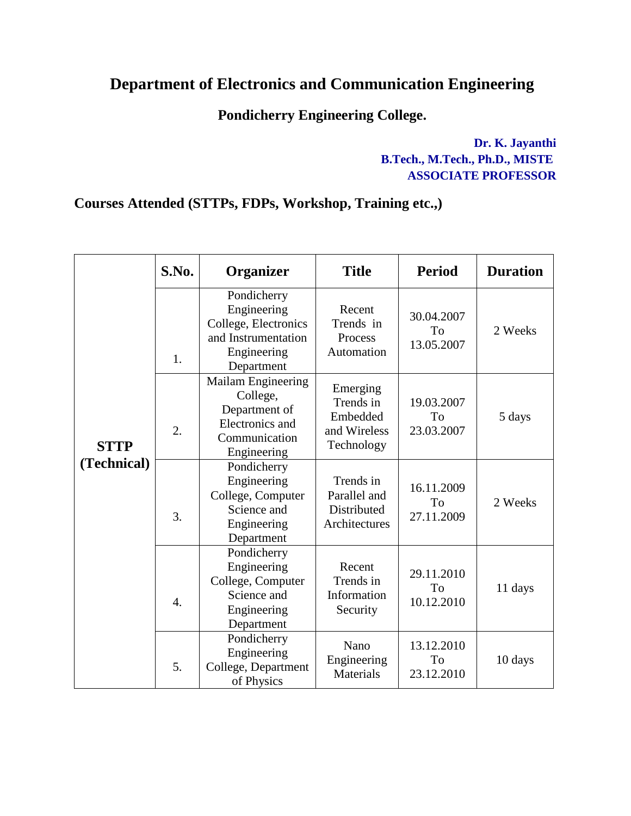## **Department of Electronics and Communication Engineering**

## **Pondicherry Engineering College.**

**Dr. K. Jayanthi B.Tech., M.Tech., Ph.D., MISTE ASSOCIATE PROFESSOR**

## **Courses Attended (STTPs, FDPs, Workshop, Training etc.,)**

|                            | S.No. | Organizer                                                                                              | <b>Title</b>                                                    | <b>Period</b>                  | <b>Duration</b> |
|----------------------------|-------|--------------------------------------------------------------------------------------------------------|-----------------------------------------------------------------|--------------------------------|-----------------|
| <b>STTP</b><br>(Technical) | 1.    | Pondicherry<br>Engineering<br>College, Electronics<br>and Instrumentation<br>Engineering<br>Department | Recent<br>Trends in<br>Process<br>Automation                    | 30.04.2007<br>To<br>13.05.2007 | 2 Weeks         |
|                            | 2.    | Mailam Engineering<br>College,<br>Department of<br>Electronics and<br>Communication<br>Engineering     | Emerging<br>Trends in<br>Embedded<br>and Wireless<br>Technology | 19.03.2007<br>To<br>23.03.2007 | 5 days          |
|                            | 3.    | Pondicherry<br>Engineering<br>College, Computer<br>Science and<br>Engineering<br>Department            | Trends in<br>Parallel and<br>Distributed<br>Architectures       | 16.11.2009<br>To<br>27.11.2009 | 2 Weeks         |
|                            | 4.    | Pondicherry<br>Engineering<br>College, Computer<br>Science and<br>Engineering<br>Department            | Recent<br>Trends in<br>Information<br>Security                  | 29.11.2010<br>To<br>10.12.2010 | 11 days         |
|                            | 5.    | Pondicherry<br>Engineering<br>College, Department<br>of Physics                                        | Nano<br>Engineering<br><b>Materials</b>                         | 13.12.2010<br>To<br>23.12.2010 | 10 days         |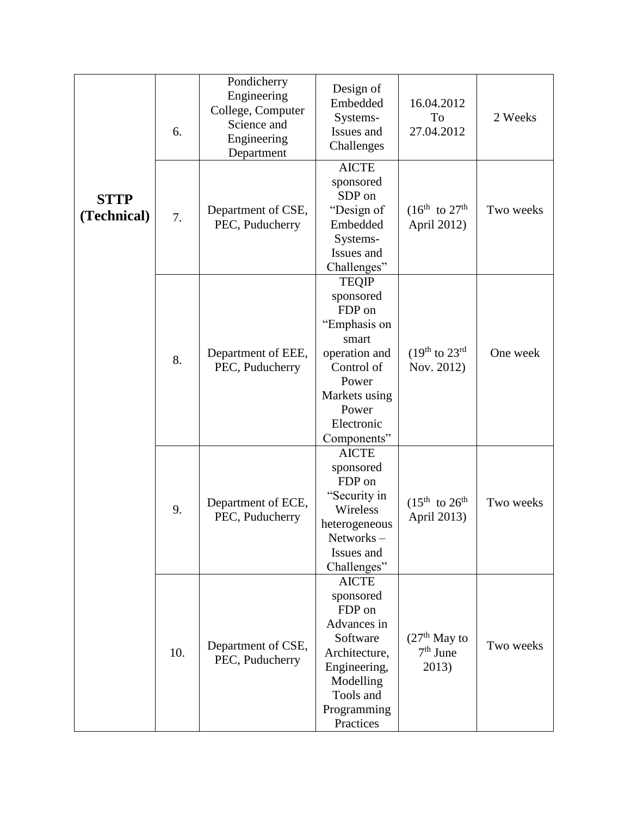|                            | 6.  | Pondicherry<br>Engineering<br>College, Computer<br>Science and<br>Engineering<br>Department | Design of<br>Embedded<br>Systems-<br>Issues and<br>Challenges                                                                                               | 16.04.2012<br>To<br>27.04.2012         | 2 Weeks   |
|----------------------------|-----|---------------------------------------------------------------------------------------------|-------------------------------------------------------------------------------------------------------------------------------------------------------------|----------------------------------------|-----------|
| <b>STTP</b><br>(Technical) | 7.  | Department of CSE,<br>PEC, Puducherry                                                       | <b>AICTE</b><br>sponsored<br>SDP on<br>"Design of<br>Embedded<br>Systems-<br>Issues and<br>Challenges"                                                      | $(16^{th}$ to $27^{th}$<br>April 2012) | Two weeks |
|                            | 8.  | Department of EEE,<br>PEC, Puducherry                                                       | <b>TEQIP</b><br>sponsored<br>FDP on<br>"Emphasis on<br>smart<br>operation and<br>Control of<br>Power<br>Markets using<br>Power<br>Electronic<br>Components" | $(19th$ to $23rd$<br>Nov. 2012)        | One week  |
|                            | 9.  | Department of ECE,<br>PEC, Puducherry                                                       | <b>AICTE</b><br>sponsored<br>FDP on<br>"Security in<br>Wireless<br>heterogeneous<br>Networks –<br>Issues and<br>Challenges"                                 | $(15^{th}$ to $26^{th}$<br>April 2013) | Two weeks |
|                            | 10. | Department of CSE,<br>PEC, Puducherry                                                       | <b>AICTE</b><br>sponsored<br>FDP on<br>Advances in<br>Software<br>Architecture,<br>Engineering,<br>Modelling<br>Tools and<br>Programming<br>Practices       | $(27th$ May to<br>$7th$ June<br>2013)  | Two weeks |